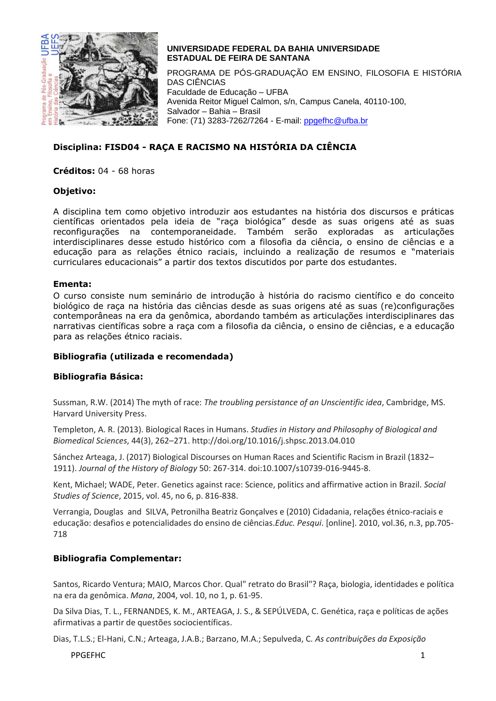

PROGRAMA DE PÓS-GRADUAÇÃO EM ENSINO, FILOSOFIA E HISTÓRIA DAS CIÊNCIAS Faculdade de Educação – UFBA Avenida Reitor Miguel Calmon, s/n, Campus Canela, 40110-100, Salvador – Bahia – Brasil Fone: (71) 3283-7262/7264 - E-mail: [ppgefhc@ufba.br](mailto:ppgefhc@ufba.br)

# **Disciplina: FISD04 - RAÇA E RACISMO NA HISTÓRIA DA CIÊNCIA**

**Créditos:** 04 - 68 horas

#### **Objetivo:**

A disciplina tem como objetivo introduzir aos estudantes na história dos discursos e práticas científicas orientados pela ideia de "raça biológica" desde as suas origens até as suas reconfigurações na contemporaneidade. Também serão exploradas as articulações interdisciplinares desse estudo histórico com a filosofia da ciência, o ensino de ciências e a educação para as relações étnico raciais, incluindo a realização de resumos e "materiais curriculares educacionais" a partir dos textos discutidos por parte dos estudantes.

#### **Ementa:**

O curso consiste num seminário de introdução à história do racismo científico e do conceito biológico de raça na história das ciências desde as suas origens até as suas (re)configurações contemporâneas na era da genômica, abordando também as articulações interdisciplinares das narrativas científicas sobre a raça com a filosofia da ciência, o ensino de ciências, e a educação para as relações étnico raciais.

# **Bibliografia (utilizada e recomendada)**

# **Bibliografia Básica:**

Sussman, R.W. (2014) The myth of race: *The troubling persistance of an Unscientific idea*, Cambridge, MS. Harvard University Press.

Templeton, A. R. (2013). Biological Races in Humans. *Studies in History and Philosophy of Biological and Biomedical Sciences*, 44(3), 262–271. http://doi.org/10.1016/j.shpsc.2013.04.010

Sánchez Arteaga, J. (2017) Biological Discourses on Human Races and Scientific Racism in Brazil (1832– 1911). *Journal of the History of Biology* 50: 267-314. doi:10.1007/s10739-016-9445-8.

Kent, Michael; WADE, Peter. Genetics against race: Science, politics and affirmative action in Brazil. *Social Studies of Science*, 2015, vol. 45, no 6, p. 816-838.

Verrangia, Douglas and SILVA, Petronilha Beatriz Gonçalves e (2010) Cidadania, relações étnico-raciais e educação: desafios e potencialidades do ensino de ciências.*Educ. Pesqui*. [online]. 2010, vol.36, n.3, pp.705- 718

# **Bibliografia Complementar:**

Santos, Ricardo Ventura; MAIO, Marcos Chor. Qual" retrato do Brasil"? Raça, biologia, identidades e política na era da genômica. *Mana*, 2004, vol. 10, no 1, p. 61-95.

Da Silva Dias, T. L., FERNANDES, K. M., ARTEAGA, J. S., & SEPÚLVEDA, C. Genética, raça e políticas de ações afirmativas a partir de questões sociocientíficas.

Dias, T.L.S.; El-Hani, C.N.; Arteaga, J.A.B.; Barzano, M.A.; Sepulveda, C. *As contribuições da Exposição* 

PPGEFHC 1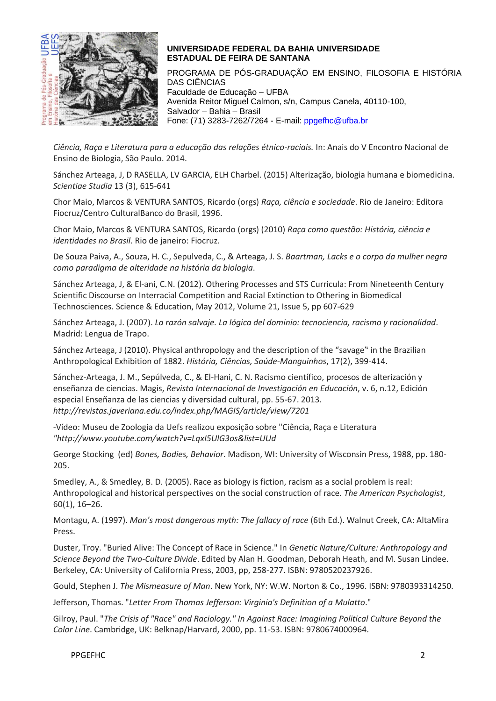

PROGRAMA DE PÓS-GRADUAÇÃO EM ENSINO, FILOSOFIA E HISTÓRIA DAS CIÊNCIAS Faculdade de Educação – UFBA Avenida Reitor Miguel Calmon, s/n, Campus Canela, 40110-100, Salvador – Bahia – Brasil Fone: (71) 3283-7262/7264 - E-mail: [ppgefhc@ufba.br](mailto:ppgefhc@ufba.br)

*Ciência, Raça e Literatura para a educação das relações étnico-raciais.* In: Anais do V Encontro Nacional de Ensino de Biologia, São Paulo. 2014.

Sánchez Arteaga, J, D RASELLA, LV GARCIA, ELH Charbel. (2015) Alterização, biologia humana e biomedicina. *Scientiae Studia* 13 (3), 615-641

Chor Maio, Marcos & VENTURA SANTOS, Ricardo (orgs) *Raça, ciência e sociedade*. Rio de Janeiro: Editora Fiocruz/Centro CulturalBanco do Brasil, 1996.

Chor Maio, Marcos & VENTURA SANTOS, Ricardo (orgs) (2010) *Raça como questão: História, ciência e identidades no Brasil*. Rio de janeiro: Fiocruz.

De Souza Paiva, A., Souza, H. C., Sepulveda, C., & Arteaga, J. S. *Baartman, Lacks e o corpo da mulher negra como paradigma de alteridade na história da biologia*.

Sánchez Arteaga, J, & El-ani, C.N. (2012). Othering Processes and STS Curricula: From Nineteenth Century Scientific Discourse on Interracial Competition and Racial Extinction to Othering in Biomedical Technosciences. Science & Education, May 2012, Volume 21, Issue 5, pp 607-629

Sánchez Arteaga, J. (2007). *La razón salvaje. La lógica del dominio: tecnociencia, racismo y racionalidad*. Madrid: Lengua de Trapo.

Sánchez Arteaga, J (2010). Physical anthropology and the description of the "savage" in the Brazilian Anthropological Exhibition of 1882. *História, Ciências, Saúde-Manguinhos*, 17(2), 399-414.

Sánchez-Arteaga, J. M., Sepúlveda, C., & El-Hani, C. N. Racismo científico, procesos de alterización y enseñanza de ciencias. Magis, *Revista Internacional de Investigación en Educación*, v. 6, n.12, Edición especial Enseñanza de las ciencias y diversidad cultural, pp. 55-67. 2013. *<http://revistas.javeriana.edu.co/index.php/MAGIS/article/view/7201>*

-Vídeo: Museu de Zoologia da Uefs realizou exposição sobre "Ciência, Raça e Literatura *["http://www.youtube.com/watch?v=LqxI5UlG3os&list=UUd](http://www.youtube.com/watch?v=LqxI5UlG3os&list=UUd)*

George Stocking (ed) *Bones, Bodies, Behavior*. Madison, WI: University of Wisconsin Press, 1988, pp. 180- 205.

Smedley, A., & Smedley, B. D. (2005). Race as biology is fiction, racism as a social problem is real: Anthropological and historical perspectives on the social construction of race. *The American Psychologist*, 60(1), 16–26.

Montagu, A. (1997). *Man's most dangerous myth: The fallacy of race* (6th Ed.). Walnut Creek, CA: AltaMira Press.

Duster, Troy. "Buried Alive: The Concept of Race in Science." In *Genetic Nature/Culture: Anthropology and Science Beyond the Two-Culture Divide*. Edited by Alan H. Goodman, Deborah Heath, and M. Susan Lindee. Berkeley, CA: University of California Press, 2003, pp, 258-277. ISBN: 9780520237926.

Gould, Stephen J. *The Mismeasure of Man*. New York, NY: W.W. Norton & Co., 1996. ISBN: 9780393314250.

Jefferson, Thomas. "*Letter From Thomas Jefferson: Virginia's Definition of a Mulatto*."

Gilroy, Paul. "*The Crisis of "Race" and Raciology." In Against Race: Imagining Political Culture Beyond the Color Line*. Cambridge, UK: Belknap/Harvard, 2000, pp. 11-53. ISBN: 9780674000964.

PPGEFHC 2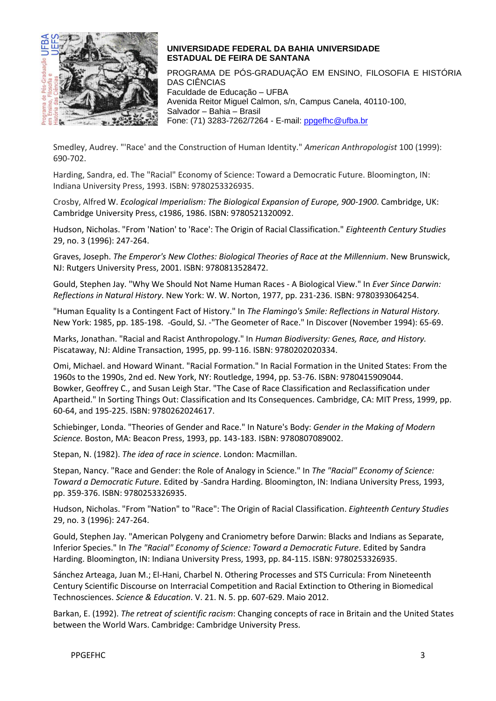

PROGRAMA DE PÓS-GRADUAÇÃO EM ENSINO, FILOSOFIA E HISTÓRIA DAS CIÊNCIAS Faculdade de Educação – UFBA Avenida Reitor Miguel Calmon, s/n, Campus Canela, 40110-100, Salvador – Bahia – Brasil Fone: (71) 3283-7262/7264 - E-mail: [ppgefhc@ufba.br](mailto:ppgefhc@ufba.br)

Smedley, Audrey. "'Race' and the Construction of Human Identity." *American Anthropologist* 100 (1999): 690-702.

Harding, Sandra, ed. The "Racial" Economy of Science: Toward a Democratic Future. Bloomington, IN: Indiana University Press, 1993. ISBN: 9780253326935.

Crosby, Alfred W. *Ecological Imperialism: The Biological Expansion of Europe, 900-1900*. Cambridge, UK: Cambridge University Press, c1986, 1986. ISBN: 9780521320092.

Hudson, Nicholas. "From 'Nation' to 'Race': The Origin of Racial Classification." *Eighteenth Century Studies* 29, no. 3 (1996): 247-264.

Graves, Joseph. *The Emperor's New Clothes: Biological Theories of Race at the Millennium*. New Brunswick, NJ: Rutgers University Press, 2001. ISBN: 9780813528472.

Gould, Stephen Jay. "Why We Should Not Name Human Races - A Biological View." In *Ever Since Darwin: Reflections in Natural History*. New York: W. W. Norton, 1977, pp. 231-236. ISBN: 9780393064254.

"Human Equality Is a Contingent Fact of History." In *The Flamingo's Smile: Reflections in Natural History.* New York: 1985, pp. 185-198. -Gould, SJ. -"The Geometer of Race." In Discover (November 1994): 65-69.

Marks, Jonathan. "Racial and Racist Anthropology." In *Human Biodiversity: Genes, Race, and History.* Piscataway, NJ: Aldine Transaction, 1995, pp. 99-116. ISBN: 9780202020334.

Omi, Michael. and Howard Winant. "Racial Formation." In Racial Formation in the United States: From the 1960s to the 1990s, 2nd ed. New York, NY: Routledge, 1994, pp. 53-76. ISBN: 9780415909044. Bowker, Geoffrey C., and Susan Leigh Star. "The Case of Race Classification and Reclassification under Apartheid." In Sorting Things Out: Classification and Its Consequences. Cambridge, CA: MIT Press, 1999, pp. 60-64, and 195-225. ISBN: 9780262024617.

Schiebinger, Londa. "Theories of Gender and Race." In Nature's Body: *Gender in the Making of Modern Science.* Boston, MA: Beacon Press, 1993, pp. 143-183. ISBN: 9780807089002.

Stepan, N. (1982). *The idea of race in science*. London: Macmillan.

Stepan, Nancy. "Race and Gender: the Role of Analogy in Science." In *The "Racial" Economy of Science: Toward a Democratic Future*. Edited by -Sandra Harding. Bloomington, IN: Indiana University Press, 1993, pp. 359-376. ISBN: 9780253326935.

Hudson, Nicholas. "From "Nation" to "Race": The Origin of Racial Classification. *Eighteenth Century Studies* 29, no. 3 (1996): 247-264.

Gould, Stephen Jay. "American Polygeny and Craniometry before Darwin: Blacks and Indians as Separate, Inferior Species." In *The "Racial" Economy of Science: Toward a Democratic Future*. Edited by Sandra Harding. Bloomington, IN: Indiana University Press, 1993, pp. 84-115. ISBN: 9780253326935.

Sánchez Arteaga, Juan M.; El-Hani, Charbel N. Othering Processes and STS Curricula: From Nineteenth Century Scientific Discourse on Interracial Competition and Racial Extinction to Othering in Biomedical Technosciences. *Science & Education*. V. 21. N. 5. pp. 607-629. Maio 2012.

Barkan, E. (1992). *The retreat of scientific racism*: Changing concepts of race in Britain and the United States between the World Wars. Cambridge: Cambridge University Press.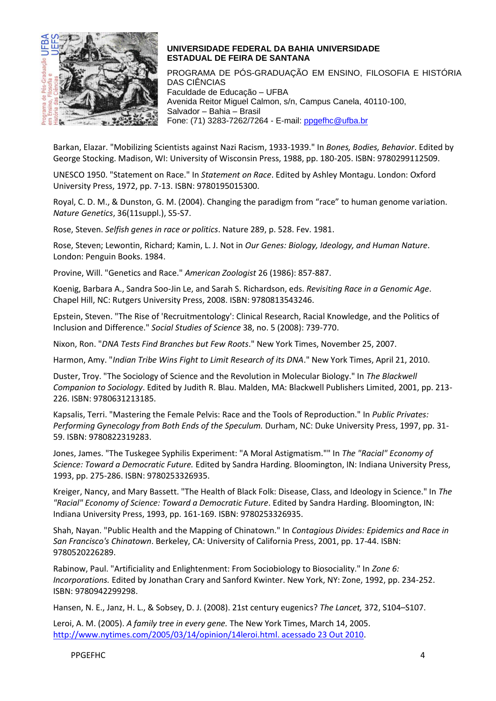

PROGRAMA DE PÓS-GRADUAÇÃO EM ENSINO, FILOSOFIA E HISTÓRIA DAS CIÊNCIAS Faculdade de Educação – UFBA Avenida Reitor Miguel Calmon, s/n, Campus Canela, 40110-100, Salvador – Bahia – Brasil Fone: (71) 3283-7262/7264 - E-mail: [ppgefhc@ufba.br](mailto:ppgefhc@ufba.br)

Barkan, Elazar. "Mobilizing Scientists against Nazi Racism, 1933-1939." In *Bones, Bodies, Behavior*. Edited by George Stocking. Madison, WI: University of Wisconsin Press, 1988, pp. 180-205. ISBN: 9780299112509.

UNESCO 1950. "Statement on Race." In *Statement on Race*. Edited by Ashley Montagu. London: Oxford University Press, 1972, pp. 7-13. ISBN: 9780195015300.

Royal, C. D. M., & Dunston, G. M. (2004). Changing the paradigm from "race" to human genome variation. *Nature Genetics*, 36(11suppl.), S5-S7.

Rose, Steven. *Selfish genes in race or politics*. Nature 289, p. 528. Fev. 1981.

Rose, Steven; Lewontin, Richard; Kamin, L. J. Not in *Our Genes: Biology, Ideology, and Human Nature*. London: Penguin Books. 1984.

Provine, Will. "Genetics and Race." *American Zoologist* 26 (1986): 857-887.

Koenig, Barbara A., Sandra Soo-Jin Le, and Sarah S. Richardson, eds. *Revisiting Race in a Genomic Age*. Chapel Hill, NC: Rutgers University Press, 2008. ISBN: 9780813543246.

Epstein, Steven. "The Rise of 'Recruitmentology': Clinical Research, Racial Knowledge, and the Politics of Inclusion and Difference." *Social Studies of Science* 38, no. 5 (2008): 739-770.

Nixon, Ron. "*DNA Tests Find Branches but Few Roots*." New York Times, November 25, 2007.

Harmon, Amy. "*Indian Tribe Wins Fight to Limit Research of its DNA*." New York Times, April 21, 2010.

Duster, Troy. "The Sociology of Science and the Revolution in Molecular Biology." In *The Blackwell Companion to Sociology*. Edited by Judith R. Blau. Malden, MA: Blackwell Publishers Limited, 2001, pp. 213- 226. ISBN: 9780631213185.

Kapsalis, Terri. "Mastering the Female Pelvis: Race and the Tools of Reproduction." In *Public Privates: Performing Gynecology from Both Ends of the Speculum.* Durham, NC: Duke University Press, 1997, pp. 31- 59. ISBN: 9780822319283.

Jones, James. "The Tuskegee Syphilis Experiment: "A Moral Astigmatism."" In *The "Racial" Economy of Science: Toward a Democratic Future.* Edited by Sandra Harding. Bloomington, IN: Indiana University Press, 1993, pp. 275-286. ISBN: 9780253326935.

Kreiger, Nancy, and Mary Bassett. "The Health of Black Folk: Disease, Class, and Ideology in Science." In *The "Racial" Economy of Science: Toward a Democratic Future*. Edited by Sandra Harding. Bloomington, IN: Indiana University Press, 1993, pp. 161-169. ISBN: 9780253326935.

Shah, Nayan. "Public Health and the Mapping of Chinatown." In *Contagious Divides: Epidemics and Race in San Francisco's Chinatown*. Berkeley, CA: University of California Press, 2001, pp. 17-44. ISBN: 9780520226289.

Rabinow, Paul. "Artificiality and Enlightenment: From Sociobiology to Biosociality." In *Zone 6: Incorporations.* Edited by Jonathan Crary and Sanford Kwinter. New York, NY: Zone, 1992, pp. 234-252. ISBN: 9780942299298.

Hansen, N. E., Janz, H. L., & Sobsey, D. J. (2008). 21st century eugenics? *The Lancet,* 372, S104–S107.

Leroi, A. M. (2005). *A family tree in every gene.* The New York Times, March 14, 2005. [http://www.nytimes.com/2005/03/14/opinion/14leroi.html. acessado 23 Out 2010.](http://www.nytimes.com/2005/03/14/opinion/14leroi.html.%20acessado%2023%20Out%202010)

PPGEFHC 4